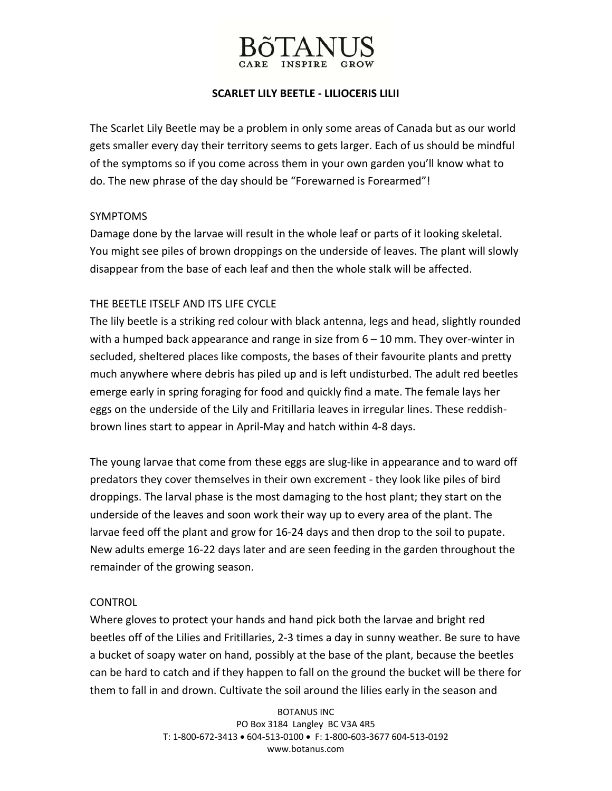

## **SCARLET LILY BEETLE ‐ LILIOCERIS LILII**

The Scarlet Lily Beetle may be a problem in only some areas of Canada but as our world gets smaller every day their territory seems to gets larger. Each of us should be mindful of the symptoms so if you come across them in your own garden you'll know what to do. The new phrase of the day should be "Forewarned is Forearmed"!

#### SYMPTOMS

Damage done by the larvae will result in the whole leaf or parts of it looking skeletal. You might see piles of brown droppings on the underside of leaves. The plant will slowly disappear from the base of each leaf and then the whole stalk will be affected.

## THE BEETLE ITSELF AND ITS LIFE CYCLE

The lily beetle is a striking red colour with black antenna, legs and head, slightly rounded with a humped back appearance and range in size from  $6 - 10$  mm. They over-winter in secluded, sheltered places like composts, the bases of their favourite plants and pretty much anywhere where debris has piled up and is left undisturbed. The adult red beetles emerge early in spring foraging for food and quickly find a mate. The female lays her eggs on the underside of the Lily and Fritillaria leaves in irregular lines. These reddish‐ brown lines start to appear in April‐May and hatch within 4‐8 days.

The young larvae that come from these eggs are slug-like in appearance and to ward off predators they cover themselves in their own excrement ‐ they look like piles of bird droppings. The larval phase is the most damaging to the host plant; they start on the underside of the leaves and soon work their way up to every area of the plant. The larvae feed off the plant and grow for 16‐24 days and then drop to the soil to pupate. New adults emerge 16‐22 days later and are seen feeding in the garden throughout the remainder of the growing season.

#### **CONTROL**

Where gloves to protect your hands and hand pick both the larvae and bright red beetles off of the Lilies and Fritillaries, 2‐3 times a day in sunny weather. Be sure to have a bucket of soapy water on hand, possibly at the base of the plant, because the beetles can be hard to catch and if they happen to fall on the ground the bucket will be there for them to fall in and drown. Cultivate the soil around the lilies early in the season and

> BOTANUS INC PO Box 3184 Langley BC V3A 4R5 T: 1‐800‐672‐3413 • 604‐513‐0100 • F: 1‐800‐603‐3677 604‐513‐0192 www.botanus.com